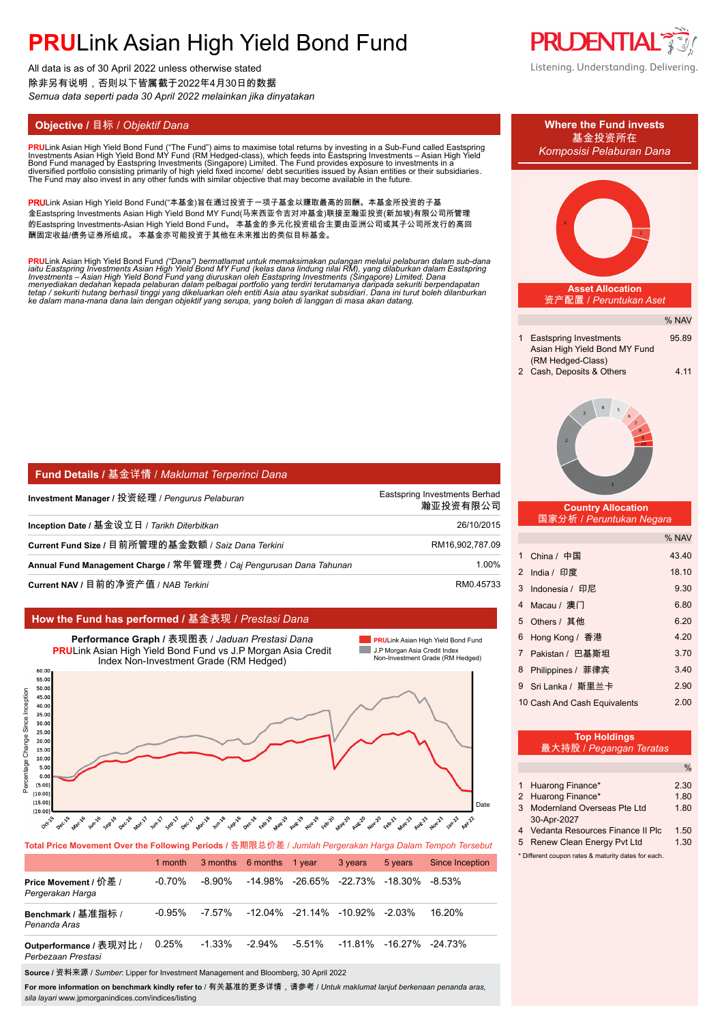All data is as of 30 April 2022 unless otherwise stated 除非另有说明,否则以下皆属截于2022年4月30日的数据 *Semua data seperti pada 30 April 2022 melainkan jika dinyatakan*

**PRU**Link Asian High Yield Bond Fund ("The Fund") aims to maximise total returns by investing in a Sub-Fund called Eastspring<br>Investments Asian High Yield Bond MY Fund (RM Hedged-class), which feeds into Eastspring Investm

PRULink Asian High Yield Bond Fund("本基金)旨在通过投资于一项子基金以赚取最高的回酬。本基金所投资的子基 金Eastspring Investments Asian High Yield Bond MY Fund(马来西亚令吉对冲基金)联接至瀚亚投资(新加坡)有限公司所管理 的Eastspring Investments-Asian High Yield Bond Fund。 本基金的多元化投资组合主要由亚洲公司或其子公司所发行的高回 酬固定收益/债务证券所组成。 本基金亦可能投资于其他在未来推出的类似目标基金。

**PRU**Link Asian High Yield Bond Fund ("Dana") bermatlamat untuk memaksimakan pulangan melalui pelaburan dalam sub-dana<br>iaitu Eastspring Investments Asian High Yield Bond MY Fund (kelas dana lindung nilai RM), yang dilaburk

| <b>  Fund Details / 基金详情 / Maklumat Terperinci Dana</b>             |                                           |
|---------------------------------------------------------------------|-------------------------------------------|
| Investment Manager / 投资经理 / Pengurus Pelaburan                      | Eastspring Investments Berhad<br>瀚亚投资有限公司 |
| Inception Date / 基金设立日 / Tarikh Diterbitkan                         | 26/10/2015                                |
| Current Fund Size / 目前所管理的基金数额 / Saiz Dana Terkini                  | RM16,902,787.09                           |
| Annual Fund Management Charge / 常年管理费 / Caj Pengurusan Dana Tahunan | 1.00%                                     |
| Current NAV / 目前的净资产值 / NAB Terkini                                 | RM0.45733                                 |

### **How the Fund has performed /** 基金表现 / *Prestasi Dana*



**Total Price Movement Over the Following Periods /** 各期限总价差 / *Jumlah Pergerakan Harga Dalam Tempoh Tersebut*

|                                               | 1 month   |           | 3 months 6 months 1 year |        | 3 years                                    | 5 years                                               | <b>Since Inception</b> |
|-----------------------------------------------|-----------|-----------|--------------------------|--------|--------------------------------------------|-------------------------------------------------------|------------------------|
| Price Movement / 价差 /<br>Pergerakan Harga     | $-0.70\%$ | -8.90%    |                          |        |                                            | $-14.98\%$ $-26.65\%$ $-22.73\%$ $-18.30\%$ $-8.53\%$ |                        |
| Benchmark / 基准指标 /<br>Penanda Aras            | $-0.95\%$ | -7.57%    |                          |        | $-12.04\%$ $-21.14\%$ $-10.92\%$ $-2.03\%$ |                                                       | 16.20%                 |
| Outperformance / 表现对比 /<br>Perbezaan Prestasi | $0.25\%$  | $-1.33\%$ | $-2.94\%$                | -5.51% |                                            | -11 81% -16 27% -24 73%                               |                        |

**Source /** 资料来源 / *Sumber*: Lipper for Investment Management and Bloomberg, 30 April 2022

**For more information on benchmark kindly refer to** / 有关基准的更多详情,请参考 / *Untuk maklumat lanjut berkenaan penanda aras, sila layari* www.jpmorganindices.com/indices/listing





| 最大持股 / Pegangan Teratas |  |
|-------------------------|--|
|                         |  |

|                                                     | Huarong Finance*                   | 2.30 |  |
|-----------------------------------------------------|------------------------------------|------|--|
|                                                     | 2 Huarong Finance*                 | 1.80 |  |
| 3                                                   | Modernland Overseas Pte Ltd        | 1.80 |  |
|                                                     | 30-Apr-2027                        |      |  |
|                                                     | 4 Vedanta Resources Finance II Plc | 1.50 |  |
|                                                     | 5 Renew Clean Energy Pyt Ltd       | 1.30 |  |
| * Different coupon rates & maturity dates for each. |                                    |      |  |
|                                                     |                                    |      |  |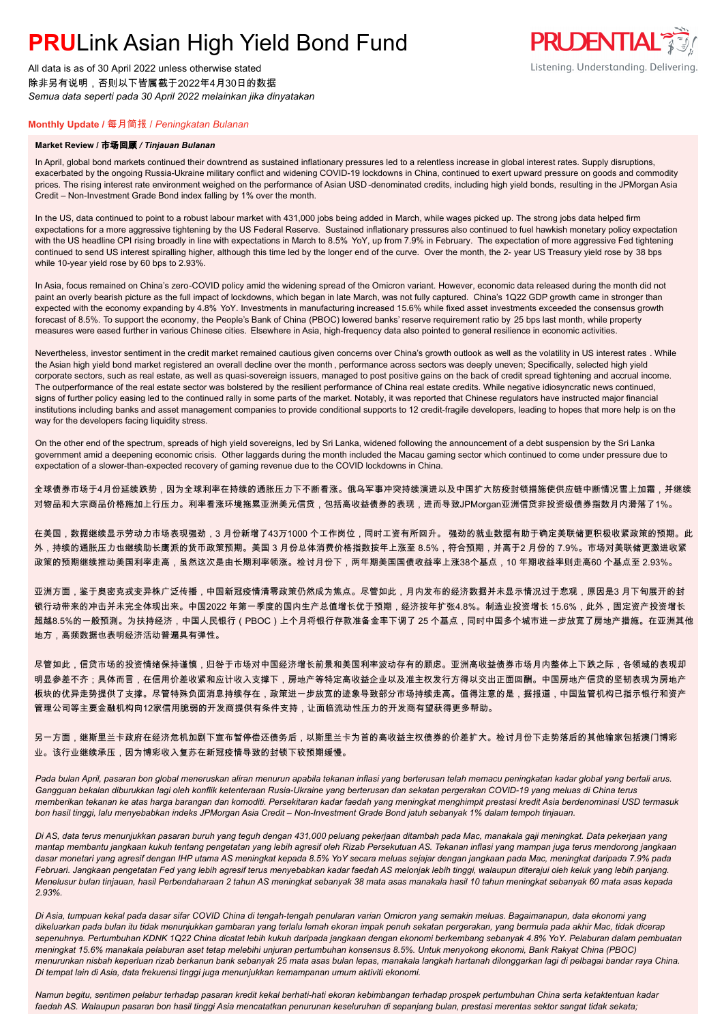All data is as of 30 April 2022 unless otherwise stated 除非另有说明,否则以下皆属截于2022年4月30日的数据 *Semua data seperti pada 30 April 2022 melainkan jika dinyatakan*

### **Monthly Update /** 每月简报 / *Peningkatan Bulanan*

#### **Market Review /** 市场回顾 */ Tinjauan Bulanan*

In April, global bond markets continued their downtrend as sustained inflationary pressures led to a relentless increase in global interest rates. Supply disruptions, exacerbated by the ongoing Russia-Ukraine military conflict and widening COVID-19 lockdowns in China, continued to exert upward pressure on goods and commodity prices. The rising interest rate environment weighed on the performance of Asian USD -denominated credits, including high yield bonds, resulting in the JPMorgan Asia Credit – Non-Investment Grade Bond index falling by 1% over the month.

In the US, data continued to point to a robust labour market with 431,000 jobs being added in March, while wages picked up. The strong jobs data helped firm expectations for a more aggressive tightening by the US Federal Reserve. Sustained inflationary pressures also continued to fuel hawkish monetary policy expectation with the US headline CPI rising broadly in line with expectations in March to 8.5% YoY, up from 7.9% in February. The expectation of more aggressive Fed tightening continued to send US interest spiralling higher, although this time led by the longer end of the curve. Over the month, the 2- year US Treasury yield rose by 38 bps while 10-year yield rose by 60 bps to 2.93%.

In Asia, focus remained on China's zero-COVID policy amid the widening spread of the Omicron variant. However, economic data released during the month did not paint an overly bearish picture as the full impact of lockdowns, which began in late March, was not fully captured. China's 1Q22 GDP growth came in stronger than expected with the economy expanding by 4.8% YoY. Investments in manufacturing increased 15.6% while fixed asset investments exceeded the consensus growth forecast of 8.5%. To support the economy, the People's Bank of China (PBOC) lowered banks' reserve requirement ratio by 25 bps last month, while property measures were eased further in various Chinese cities. Elsewhere in Asia, high-frequency data also pointed to general resilience in economic activities.

Nevertheless, investor sentiment in the credit market remained cautious given concerns over China's growth outlook as well as the volatility in US interest rates . While the Asian high yield bond market registered an overall decline over the month , performance across sectors was deeply uneven; Specifically, selected high yield corporate sectors, such as real estate, as well as quasi-sovereign issuers, managed to post positive gains on the back of credit spread tightening and accrual income. The outperformance of the real estate sector was bolstered by the resilient performance of China real estate credits. While negative idiosyncratic news continued, signs of further policy easing led to the continued rally in some parts of the market. Notably, it was reported that Chinese regulators have instructed major financial institutions including banks and asset management companies to provide conditional supports to 12 credit-fragile developers, leading to hopes that more help is on the way for the developers facing liquidity stress.

On the other end of the spectrum, spreads of high yield sovereigns, led by Sri Lanka, widened following the announcement of a debt suspension by the Sri Lanka government amid a deepening economic crisis. Other laggards during the month included the Macau gaming sector which continued to come under pressure due to expectation of a slower-than-expected recovery of gaming revenue due to the COVID lockdowns in China.

全球债券市场于4月份延续跌势,因为全球利率在持续的通胀压力下不断看涨。俄乌军事冲突持续演进以及中国扩大防疫封锁措施使供应链中断情况雪上加霜,并继续 对物品和大宗商品价格施加上行压力。利率看涨环境拖累亚洲美元信贷,包括高收益债券的表现,进而导致JPMorgan亚洲信贷非投资级债券指数月内滑落了1%。

在美国,数据继续显示劳动力市场表现强劲,3 月份新增了43万1000 个工作岗位,同时工资有所回升。 强劲的就业数据有助于确定美联储更积极收紧政策的预期。此 外,持续的通胀压力也继续助长鹰派的货币政策预期。美国 3 月份总体消费价格指数按年上涨至 8.5%,符合预期,并高于2 月份的 7.9%。市场对美联储更激进收紧 政策的预期继续推动美国利率走高,虽然这次是由长期利率领涨。检讨月份下,两年期美国国债收益率上涨38个基点,10 年期收益率则走高60 个基点至 2.93%。

亚洲方面,鉴于奥密克戎变异株广泛传播,中国新冠疫情清零政策仍然成为焦点。尽管如此,月内发布的经济数据并未显示情况过于悲观,原因是3 月下旬展开的封 锁行动带来的冲击并未完全体现出来。中国2022 年第一季度的国内生产总值增长优于预期,经济按年扩张4.8%。制造业投资增长 15.6%,此外,固定资产投资增长 超越8.5%的一般预测。为扶持经济,中国人民银行(PBOC)上个月将银行存款准备金率下调了 25 个基点,同时中国多个城市进一步放宽了房地产措施。在亚洲其他 地方,高频数据也表明经济活动普遍具有弹性。

尽管如此,信贷市场的投资情绪保持谨慎,归咎于市场对中国经济增长前景和美国利率波动存有的顾虑。亚洲高收益债券市场月内整体上下跌之际,各领域的表现却 明显参差不齐;具体而言,在信用价差收紧和应计收入支撑下,房地产等特定高收益企业以及准主权发行方得以交出正面回酬。中国房地产信贷的坚韧表现为房地产 板块的优异走势提供了支撑。尽管特殊负面消息持续存在,政策进一步放宽的迹象导致部分市场持续走高。值得注意的是,据报道,中国监管机构已指示银行和资产 管理公司等主要金融机构向12家信用脆弱的开发商提供有条件支持,让面临流动性压力的开发商有望获得更多帮助。

另一方面,继斯里兰卡政府在经济危机加剧下宣布暂停偿还债务后,以斯里兰卡为首的高收益主权债券的价差扩大。检讨月份下走势落后的其他输家包括澳门博彩 业。该行业继续承压,因为博彩收入复苏在新冠疫情导致的封锁下较预期缓慢。

*Pada bulan April, pasaran bon global meneruskan aliran menurun apabila tekanan inflasi yang berterusan telah memacu peningkatan kadar global yang bertali arus. Gangguan bekalan diburukkan lagi oleh konflik ketenteraan Rusia-Ukraine yang berterusan dan sekatan pergerakan COVID-19 yang meluas di China terus memberikan tekanan ke atas harga barangan dan komoditi. Persekitaran kadar faedah yang meningkat menghimpit prestasi kredit Asia berdenominasi USD termasuk bon hasil tinggi, lalu menyebabkan indeks JPMorgan Asia Credit – Non-Investment Grade Bond jatuh sebanyak 1% dalam tempoh tinjauan.*

*Di AS, data terus menunjukkan pasaran buruh yang teguh dengan 431,000 peluang pekerjaan ditambah pada Mac, manakala gaji meningkat. Data pekerjaan yang mantap membantu jangkaan kukuh tentang pengetatan yang lebih agresif oleh Rizab Persekutuan AS. Tekanan inflasi yang mampan juga terus mendorong jangkaan dasar monetari yang agresif dengan IHP utama AS meningkat kepada 8.5% YoY secara meluas sejajar dengan jangkaan pada Mac, meningkat daripada 7.9% pada Februari. Jangkaan pengetatan Fed yang lebih agresif terus menyebabkan kadar faedah AS melonjak lebih tinggi, walaupun diterajui oleh keluk yang lebih panjang. Menelusur bulan tinjauan, hasil Perbendaharaan 2 tahun AS meningkat sebanyak 38 mata asas manakala hasil 10 tahun meningkat sebanyak 60 mata asas kepada 2.93%.*

*Di Asia, tumpuan kekal pada dasar sifar COVID China di tengah-tengah penularan varian Omicron yang semakin meluas. Bagaimanapun, data ekonomi yang dikeluarkan pada bulan itu tidak menunjukkan gambaran yang terlalu lemah ekoran impak penuh sekatan pergerakan, yang bermula pada akhir Mac, tidak dicerap sepenuhnya. Pertumbuhan KDNK 1Q22 China dicatat lebih kukuh daripada jangkaan dengan ekonomi berkembang sebanyak 4.8% YoY. Pelaburan dalam pembuatan meningkat 15.6% manakala pelaburan aset tetap melebihi unjuran pertumbuhan konsensus 8.5%. Untuk menyokong ekonomi, Bank Rakyat China (PBOC) menurunkan nisbah keperluan rizab berkanun bank sebanyak 25 mata asas bulan lepas, manakala langkah hartanah dilonggarkan lagi di pelbagai bandar raya China. Di tempat lain di Asia, data frekuensi tinggi juga menunjukkan kemampanan umum aktiviti ekonomi.*

*Namun begitu, sentimen pelabur terhadap pasaran kredit kekal berhati-hati ekoran kebimbangan terhadap prospek pertumbuhan China serta ketaktentuan kadar faedah AS. Walaupun pasaran bon hasil tinggi Asia mencatatkan penurunan keseluruhan di sepanjang bulan, prestasi merentas sektor sangat tidak sekata;* 

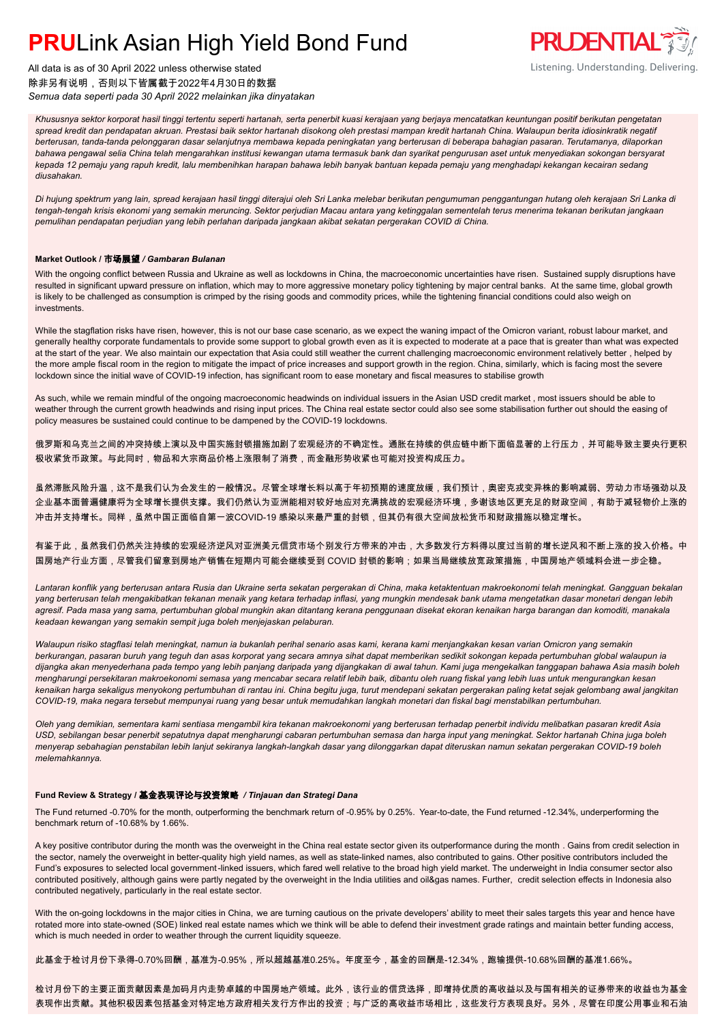All data is as of 30 April 2022 unless otherwise stated 除非另有说明,否则以下皆属截于2022年4月30日的数据 *Semua data seperti pada 30 April 2022 melainkan jika dinyatakan*



*Khususnya sektor korporat hasil tinggi tertentu seperti hartanah, serta penerbit kuasi kerajaan yang berjaya mencatatkan keuntungan positif berikutan pengetatan spread kredit dan pendapatan akruan. Prestasi baik sektor hartanah disokong oleh prestasi mampan kredit hartanah China. Walaupun berita idiosinkratik negatif berterusan, tanda-tanda pelonggaran dasar selanjutnya membawa kepada peningkatan yang berterusan di beberapa bahagian pasaran. Terutamanya, dilaporkan bahawa pengawal selia China telah mengarahkan institusi kewangan utama termasuk bank dan syarikat pengurusan aset untuk menyediakan sokongan bersyarat kepada 12 pemaju yang rapuh kredit, lalu membenihkan harapan bahawa lebih banyak bantuan kepada pemaju yang menghadapi kekangan kecairan sedang diusahakan.*

*Di hujung spektrum yang lain, spread kerajaan hasil tinggi diterajui oleh Sri Lanka melebar berikutan pengumuman penggantungan hutang oleh kerajaan Sri Lanka di tengah-tengah krisis ekonomi yang semakin meruncing. Sektor perjudian Macau antara yang ketinggalan sementelah terus menerima tekanan berikutan jangkaan pemulihan pendapatan perjudian yang lebih perlahan daripada jangkaan akibat sekatan pergerakan COVID di China.*

### **Market Outlook /** 市场展望 */ Gambaran Bulanan*

With the ongoing conflict between Russia and Ukraine as well as lockdowns in China, the macroeconomic uncertainties have risen. Sustained supply disruptions have resulted in significant upward pressure on inflation, which may to more aggressive monetary policy tightening by major central banks. At the same time, global growth is likely to be challenged as consumption is crimped by the rising goods and commodity prices, while the tightening financial conditions could also weigh on investments.

While the stagflation risks have risen, however, this is not our base case scenario, as we expect the waning impact of the Omicron variant, robust labour market, and generally healthy corporate fundamentals to provide some support to global growth even as it is expected to moderate at a pace that is greater than what was expected at the start of the year. We also maintain our expectation that Asia could still weather the current challenging macroeconomic environment relatively better , helped by the more ample fiscal room in the region to mitigate the impact of price increases and support growth in the region. China, similarly, which is facing most the severe lockdown since the initial wave of COVID-19 infection, has significant room to ease monetary and fiscal measures to stabilise growth

As such, while we remain mindful of the ongoing macroeconomic headwinds on individual issuers in the Asian USD credit market , most issuers should be able to weather through the current growth headwinds and rising input prices. The China real estate sector could also see some stabilisation further out should the easing of policy measures be sustained could continue to be dampened by the COVID-19 lockdowns.

俄罗斯和乌克兰之间的冲突持续上演以及中国实施封锁措施加剧了宏观经济的不确定性。通胀在持续的供应链中断下面临显著的上行压力,并可能导致主要央行更积 极收紧货币政策。与此同时,物品和大宗商品价格上涨限制了消费,而金融形势收紧也可能对投资构成压力。

虽然滞胀风险升温,这不是我们认为会发生的一般情况。尽管全球增长料以高于年初预期的速度放缓,我们预计,奥密克戎变异株的影响减弱、劳动力市场强劲以及 企业基本面普遍健康将为全球增长提供支撑。我们仍然认为亚洲能相对较好地应对充满挑战的宏观经济环境,多谢该地区更充足的财政空间,有助于减轻物价上涨的 冲击并支持增长。同样,虽然中国正面临自第一波COVID-19 感染以来最严重的封锁,但其仍有很大空间放松货币和财政措施以稳定增长。

有鉴于此,虽然我们仍然关注持续的宏观经济逆风对亚洲美元信贷市场个别发行方带来的冲击,大多数发行方料得以度过当前的增长逆风和不断上涨的投入价格。中 国房地产行业方面,尽管我们留意到房地产销售在短期内可能会继续受到 COVID 封锁的影响;如果当局继续放宽政策措施,中国房地产领域料会进一步企稳。

*Lantaran konflik yang berterusan antara Rusia dan Ukraine serta sekatan pergerakan di China, maka ketaktentuan makroekonomi telah meningkat. Gangguan bekalan yang berterusan telah mengakibatkan tekanan menaik yang ketara terhadap inflasi, yang mungkin mendesak bank utama mengetatkan dasar monetari dengan lebih agresif. Pada masa yang sama, pertumbuhan global mungkin akan ditantang kerana penggunaan disekat ekoran kenaikan harga barangan dan komoditi, manakala keadaan kewangan yang semakin sempit juga boleh menjejaskan pelaburan.*

*Walaupun risiko stagflasi telah meningkat, namun ia bukanlah perihal senario asas kami, kerana kami menjangkakan kesan varian Omicron yang semakin berkurangan, pasaran buruh yang teguh dan asas korporat yang secara amnya sihat dapat memberikan sedikit sokongan kepada pertumbuhan global walaupun ia dijangka akan menyederhana pada tempo yang lebih panjang daripada yang dijangkakan di awal tahun. Kami juga mengekalkan tanggapan bahawa Asia masih boleh mengharungi persekitaran makroekonomi semasa yang mencabar secara relatif lebih baik, dibantu oleh ruang fiskal yang lebih luas untuk mengurangkan kesan kenaikan harga sekaligus menyokong pertumbuhan di rantau ini. China begitu juga, turut mendepani sekatan pergerakan paling ketat sejak gelombang awal jangkitan COVID-19, maka negara tersebut mempunyai ruang yang besar untuk memudahkan langkah monetari dan fiskal bagi menstabilkan pertumbuhan.*

*Oleh yang demikian, sementara kami sentiasa mengambil kira tekanan makroekonomi yang berterusan terhadap penerbit individu melibatkan pasaran kredit Asia USD, sebilangan besar penerbit sepatutnya dapat mengharungi cabaran pertumbuhan semasa dan harga input yang meningkat. Sektor hartanah China juga boleh menyerap sebahagian penstabilan lebih lanjut sekiranya langkah-langkah dasar yang dilonggarkan dapat diteruskan namun sekatan pergerakan COVID-19 boleh melemahkannya.*

### **Fund Review & Strategy /** 基金表现评论与投资策略 */ Tinjauan dan Strategi Dana*

The Fund returned -0.70% for the month, outperforming the benchmark return of -0.95% by 0.25%. Year-to-date, the Fund returned -12.34%, underperforming the benchmark return of -10.68% by 1.66%.

A key positive contributor during the month was the overweight in the China real estate sector given its outperformance during the month . Gains from credit selection in the sector, namely the overweight in better-quality high yield names, as well as state-linked names, also contributed to gains. Other positive contributors included the Fund's exposures to selected local government-linked issuers, which fared well relative to the broad high yield market. The underweight in India consumer sector also contributed positively, although gains were partly negated by the overweight in the India utilities and oil&gas names. Further, credit selection effects in Indonesia also contributed negatively, particularly in the real estate sector.

With the on-going lockdowns in the major cities in China, we are turning cautious on the private developers' ability to meet their sales targets this year and hence have rotated more into state-owned (SOE) linked real estate names which we think will be able to defend their investment grade ratings and maintain better funding access, which is much needed in order to weather through the current liquidity squeeze.

此基金于检讨月份下录得-0.70%回酬,基准为-0.95%,所以超越基准0.25%。年度至今,基金的回酬是-12.34%,跑输提供-10.68%回酬的基准1.66%。

检讨月份下的主要正面贡献因素是加码月内走势卓越的中国房地产领域。此外,该行业的信贷选择,即增持优质的高收益以及与国有相关的证券带来的收益也为基金 表现作出贡献。其他积极因素包括基金对特定地方政府相关发行方作出的投资;与广泛的高收益市场相比,这些发行方表现良好。另外,尽管在印度公用事业和石油